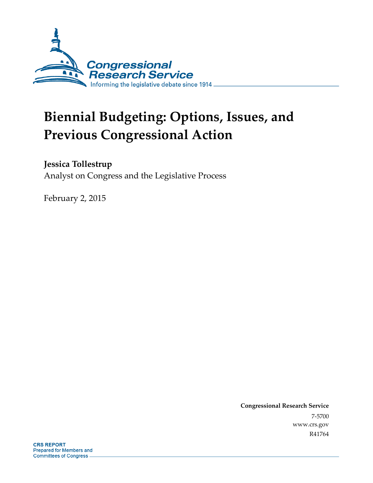

# **Biennial Budgeting: Options, Issues, and Previous Congressional Action**

### **Jessica Tollestrup**

Analyst on Congress and the Legislative Process

February 2, 2015

**Congressional Research Service**  7-5700 www.crs.gov R41764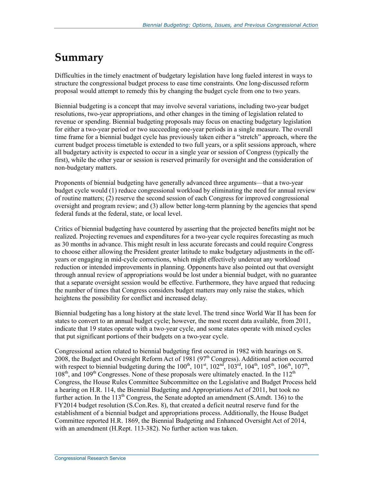## **Summary**

Difficulties in the timely enactment of budgetary legislation have long fueled interest in ways to structure the congressional budget process to ease time constraints. One long-discussed reform proposal would attempt to remedy this by changing the budget cycle from one to two years.

Biennial budgeting is a concept that may involve several variations, including two-year budget resolutions, two-year appropriations, and other changes in the timing of legislation related to revenue or spending. Biennial budgeting proposals may focus on enacting budgetary legislation for either a two-year period or two succeeding one-year periods in a single measure. The overall time frame for a biennial budget cycle has previously taken either a "stretch" approach, where the current budget process timetable is extended to two full years, or a split sessions approach, where all budgetary activity is expected to occur in a single year or session of Congress (typically the first), while the other year or session is reserved primarily for oversight and the consideration of non-budgetary matters.

Proponents of biennial budgeting have generally advanced three arguments—that a two-year budget cycle would (1) reduce congressional workload by eliminating the need for annual review of routine matters; (2) reserve the second session of each Congress for improved congressional oversight and program review; and (3) allow better long-term planning by the agencies that spend federal funds at the federal, state, or local level.

Critics of biennial budgeting have countered by asserting that the projected benefits might not be realized. Projecting revenues and expenditures for a two-year cycle requires forecasting as much as 30 months in advance. This might result in less accurate forecasts and could require Congress to choose either allowing the President greater latitude to make budgetary adjustments in the offyears or engaging in mid-cycle corrections, which might effectively undercut any workload reduction or intended improvements in planning. Opponents have also pointed out that oversight through annual review of appropriations would be lost under a biennial budget, with no guarantee that a separate oversight session would be effective. Furthermore, they have argued that reducing the number of times that Congress considers budget matters may only raise the stakes, which heightens the possibility for conflict and increased delay.

Biennial budgeting has a long history at the state level. The trend since World War II has been for states to convert to an annual budget cycle; however, the most recent data available, from 2011, indicate that 19 states operate with a two-year cycle, and some states operate with mixed cycles that put significant portions of their budgets on a two-year cycle.

Congressional action related to biennial budgeting first occurred in 1982 with hearings on S. 2008, the Budget and Oversight Reform Act of 1981 (97<sup>th</sup> Congress). Additional action occurred with respect to biennial budgeting during the  $100^{th}$ ,  $101^{st}$ ,  $102^{nd}$ ,  $103^{rd}$ ,  $104^{th}$ ,  $105^{th}$ ,  $106^{th}$ ,  $107^{th}$ ,  $108<sup>th</sup>$ , and  $109<sup>th</sup>$  Congresses. None of these proposals were ultimately enacted. In the  $112<sup>th</sup>$ Congress, the House Rules Committee Subcommittee on the Legislative and Budget Process held a hearing on H.R. 114, the Biennial Budgeting and Appropriations Act of 2011, but took no further action. In the  $113<sup>th</sup>$  Congress, the Senate adopted an amendment (S.Amdt. 136) to the FY2014 budget resolution (S.Con.Res. 8), that created a deficit neutral reserve fund for the establishment of a biennial budget and appropriations process. Additionally, the House Budget Committee reported H.R. 1869, the Biennial Budgeting and Enhanced Oversight Act of 2014, with an amendment (H.Rept. 113-382). No further action was taken.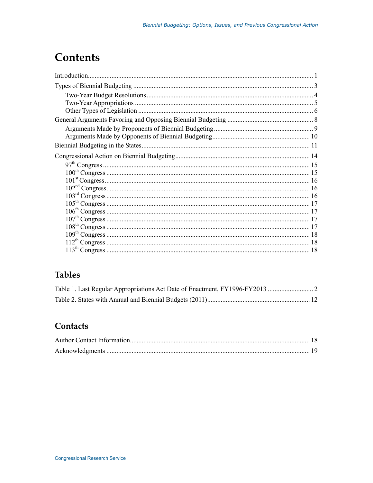## **Contents**

### **Tables**

### Contacts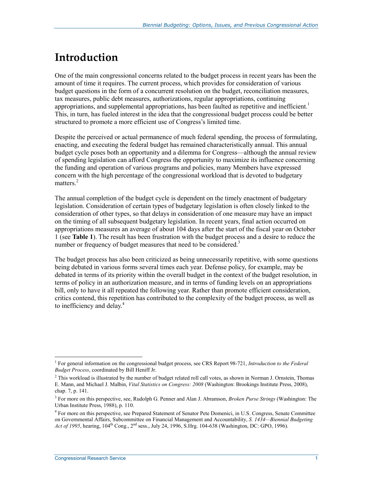## **Introduction**

One of the main congressional concerns related to the budget process in recent years has been the amount of time it requires. The current process, which provides for consideration of various budget questions in the form of a concurrent resolution on the budget, reconciliation measures, tax measures, public debt measures, authorizations, regular appropriations, continuing appropriations, and supplemental appropriations, has been faulted as repetitive and inefficient.<sup>1</sup> This, in turn, has fueled interest in the idea that the congressional budget process could be better structured to promote a more efficient use of Congress's limited time.

Despite the perceived or actual permanence of much federal spending, the process of formulating, enacting, and executing the federal budget has remained characteristically annual. This annual budget cycle poses both an opportunity and a dilemma for Congress—although the annual review of spending legislation can afford Congress the opportunity to maximize its influence concerning the funding and operation of various programs and policies, many Members have expressed concern with the high percentage of the congressional workload that is devoted to budgetary matters.<sup>2</sup>

The annual completion of the budget cycle is dependent on the timely enactment of budgetary legislation. Consideration of certain types of budgetary legislation is often closely linked to the consideration of other types, so that delays in consideration of one measure may have an impact on the timing of all subsequent budgetary legislation. In recent years, final action occurred on appropriations measures an average of about 104 days after the start of the fiscal year on October 1 (see **Table 1**). The result has been frustration with the budget process and a desire to reduce the number or frequency of budget measures that need to be considered.<sup>3</sup>

The budget process has also been criticized as being unnecessarily repetitive, with some questions being debated in various forms several times each year. Defense policy, for example, may be debated in terms of its priority within the overall budget in the context of the budget resolution, in terms of policy in an authorization measure, and in terms of funding levels on an appropriations bill, only to have it all repeated the following year. Rather than promote efficient consideration, critics contend, this repetition has contributed to the complexity of the budget process, as well as to inefficiency and delay.<sup>4</sup>

<sup>&</sup>lt;sup>1</sup> For general information on the congressional budget process, see CRS Report 98-721, *Introduction to the Federal Budget Process*, coordinated by Bill Heniff Jr.

 $2$  This workload is illustrated by the number of budget related roll call votes, as shown in Norman J. Ornstein, Thomas E. Mann, and Michael J. Malbin, *Vital Statistics on Congress: 2008* (Washington: Brookings Institute Press, 2008), chap. 7, p. 141.

<sup>3</sup> For more on this perspective, see, Rudolph G. Penner and Alan J. Abramson, *Broken Purse Strings* (Washington: The Urban Institute Press, 1988), p. 110.

<sup>&</sup>lt;sup>4</sup> For more on this perspective, see Prepared Statement of Senator Pete Domenici, in U.S. Congress, Senate Committee on Governmental Affairs, Subcommittee on Financial Management and Accountability, *S. 1434—Biennial Budgeting*  Act of 1995, hearing, 104<sup>th</sup> Cong., 2<sup>nd</sup> sess., July 24, 1996, S.Hrg. 104-638 (Washington, DC: GPO, 1996).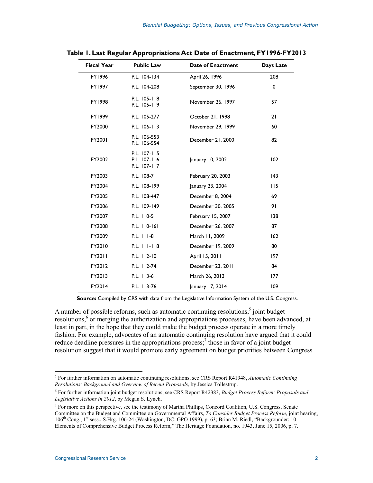| <b>Fiscal Year</b> | <b>Public Law</b>                            | <b>Date of Enactment</b> | Days Late    |
|--------------------|----------------------------------------------|--------------------------|--------------|
| FY1996             | P.L. 104-134                                 | April 26, 1996           | 208          |
| FY1997             | P.L. 104-208                                 | September 30, 1996       | 0            |
| FY1998             | P.L. 105-118<br>P.L. 105-119                 | November 26, 1997        | 57           |
| FY1999             | P.L. 105-277                                 | October 21, 1998         | 21           |
| FY2000             | P.L. 106-113                                 | November 29, 1999        | 60           |
| FY2001             | P.L. 106-553<br>P.L. 106-554                 | December 21, 2000        | 82           |
| FY2002             | P.L. 107-115<br>P.L. 107-116<br>P.L. 107-117 | January 10, 2002         | 102          |
| FY2003             | P.L. 108-7                                   | February 20, 2003        | $ 43\rangle$ |
| FY2004             | P.L. 108-199                                 | January 23, 2004         | 115          |
| FY2005             | P.L. 108-447                                 | December 8, 2004         | 69           |
| FY2006             | P.L. 109-149                                 | December 30, 2005        | 91           |
| FY2007             | P.L. 110-5                                   | February 15, 2007        | 138          |
| FY2008             | P.L. 110-161                                 | December 26, 2007        | 87           |
| FY2009             | P.L. 111-8                                   | March 11, 2009           | 162          |
| FY2010             | P.L. 111-118                                 | December 19, 2009        | 80           |
| FY2011             | P.L. 112-10                                  | April 15, 2011           | 197          |
| FY2012             | P.L. 112-74                                  | December 23, 2011        | 84           |
| FY2013             | P.L. 113-6                                   | March 26, 2013           | 177          |
| FY2014             | P.L. 113-76                                  | January 17, 2014         | 109          |

**Table 1. Last Regular Appropriations Act Date of Enactment, FY1996-FY2013** 

**Source:** Compiled by CRS with data from the Legislative Information System of the U.S. Congress.

A number of possible reforms, such as automatic continuing resolutions, $5$  joint budget resolutions,<sup>6</sup> or merging the authorization and appropriations processes, have been advanced, at least in part, in the hope that they could make the budget process operate in a more timely fashion. For example, advocates of an automatic continuing resolution have argued that it could reduce deadline pressures in the appropriations process;<sup>7</sup> those in favor of a joint budget resolution suggest that it would promote early agreement on budget priorities between Congress

<sup>5</sup> For further information on automatic continuing resolutions, see CRS Report R41948, *Automatic Continuing Resolutions: Background and Overview of Recent Proposals*, by Jessica Tollestrup.

<sup>6</sup> For further information joint budget resolutions, see CRS Report R42383, *Budget Process Reform: Proposals and Legislative Actions in 2012*, by Megan S. Lynch.

<sup>&</sup>lt;sup>7</sup> For more on this perspective, see the testimony of Martha Phillips, Concord Coalition, U.S. Congress, Senate Committee on the Budget and Committee on Governmental Affairs, *To Consider Budget Process Reform*, joint hearing, 106<sup>th</sup> Cong., 1<sup>st</sup> sess., S.Hrg. 106-24 (Washington, DC: GPO 1999), p. 63; Brian M. Riedl, "Backgrounder: 10 Elements of Comprehensive Budget Process Reform," The Heritage Foundation, no. 1943, June 15, 2006, p. 7.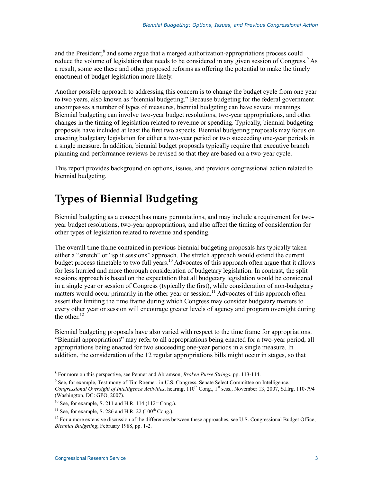and the President;<sup>8</sup> and some argue that a merged authorization-appropriations process could reduce the volume of legislation that needs to be considered in any given session of Congress.<sup>9</sup> As a result, some see these and other proposed reforms as offering the potential to make the timely enactment of budget legislation more likely.

Another possible approach to addressing this concern is to change the budget cycle from one year to two years, also known as "biennial budgeting." Because budgeting for the federal government encompasses a number of types of measures, biennial budgeting can have several meanings. Biennial budgeting can involve two-year budget resolutions, two-year appropriations, and other changes in the timing of legislation related to revenue or spending. Typically, biennial budgeting proposals have included at least the first two aspects. Biennial budgeting proposals may focus on enacting budgetary legislation for either a two-year period or two succeeding one-year periods in a single measure. In addition, biennial budget proposals typically require that executive branch planning and performance reviews be revised so that they are based on a two-year cycle.

This report provides background on options, issues, and previous congressional action related to biennial budgeting.

## **Types of Biennial Budgeting**

Biennial budgeting as a concept has many permutations, and may include a requirement for twoyear budget resolutions, two-year appropriations, and also affect the timing of consideration for other types of legislation related to revenue and spending.

The overall time frame contained in previous biennial budgeting proposals has typically taken either a "stretch" or "split sessions" approach. The stretch approach would extend the current budget process timetable to two full years.<sup>10</sup> Advocates of this approach often argue that it allows for less hurried and more thorough consideration of budgetary legislation. In contrast, the split sessions approach is based on the expectation that all budgetary legislation would be considered in a single year or session of Congress (typically the first), while consideration of non-budgetary matters would occur primarily in the other year or session.<sup>11</sup> Advocates of this approach often assert that limiting the time frame during which Congress may consider budgetary matters to every other year or session will encourage greater levels of agency and program oversight during the other.<sup>12</sup>

Biennial budgeting proposals have also varied with respect to the time frame for appropriations. "Biennial appropriations" may refer to all appropriations being enacted for a two-year period, all appropriations being enacted for two succeeding one-year periods in a single measure. In addition, the consideration of the 12 regular appropriations bills might occur in stages, so that

 8 For more on this perspective, see Penner and Abramson, *Broken Purse Strings*, pp. 113-114.

<sup>&</sup>lt;sup>9</sup> See, for example, Testimony of Tim Roemer, in U.S. Congress, Senate Select Committee on Intelligence, *Congressional Oversight of Intelligence Activities*, hearing, 110th Cong., 1st sess., November 13, 2007, S.Hrg. 110-794 (Washington, DC: GPO, 2007).

<sup>&</sup>lt;sup>10</sup> See, for example, S. 211 and H.R. 114 (112<sup>th</sup> Cong.).

<sup>&</sup>lt;sup>11</sup> See, for example, S. 286 and H.R. 22 ( $100<sup>th</sup>$  Cong.).

 $12$  For a more extensive discussion of the differences between these approaches, see U.S. Congressional Budget Office, *Biennial Budgeting*, February 1988, pp. 1-2.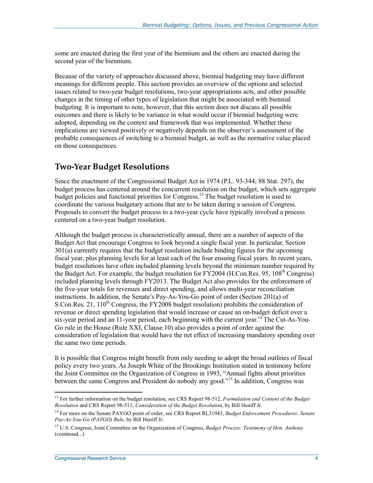some are enacted during the first year of the biennium and the others are enacted during the second year of the biennium.

Because of the variety of approaches discussed above, biennial budgeting may have different meanings for different people. This section provides an overview of the options and selected issues related to two-year budget resolutions, two-year appropriations acts, and other possible changes in the timing of other types of legislation that might be associated with biennial budgeting. It is important to note, however, that this section does not discuss all possible outcomes and there is likely to be variance in what would occur if biennial budgeting were adopted, depending on the context and framework that was implemented. Whether these implications are viewed positively or negatively depends on the observer's assessment of the probable consequences of switching to a biennial budget, as well as the normative value placed on those consequences.

#### **Two-Year Budget Resolutions**

Since the enactment of the Congressional Budget Act in 1974 (P.L. 93-344; 88 Stat. 297), the budget process has centered around the concurrent resolution on the budget, which sets aggregate budget policies and functional priorities for Congress.<sup>13</sup> The budget resolution is used to coordinate the various budgetary actions that are to be taken during a session of Congress. Proposals to convert the budget process to a two-year cycle have typically involved a process centered on a two-year budget resolution.

Although the budget process is characteristically annual, there are a number of aspects of the Budget Act that encourage Congress to look beyond a single fiscal year. In particular, Section 301(a) currently requires that the budget resolution include binding figures for the upcoming fiscal year, plus planning levels for at least each of the four ensuing fiscal years. In recent years, budget resolutions have often included planning levels beyond the minimum number required by the Budget Act. For example, the budget resolution for  $FY2004$  (H.Con.Res. 95,  $108<sup>th</sup>$  Congress) included planning levels through FY2013. The Budget Act also provides for the enforcement of the five-year totals for revenues and direct spending, and allows multi-year reconciliation instructions. In addition, the Senate's Pay-As-You-Go point of order (Section 201(a) of S.Con.Res. 21, 110<sup>th</sup> Congress, the FY2008 budget resolution) prohibits the consideration of revenue or direct spending legislation that would increase or cause an on-budget deficit over a six-year period and an 11-year period, each beginning with the current year.<sup>14</sup> The Cut-As-You-Go rule in the House (Rule XXI, Clause 10) also provides a point of order against the consideration of legislation that would have the net effect of increasing mandatory spending over the same two time periods.

It is possible that Congress might benefit from only needing to adopt the broad outlines of fiscal policy every two years. As Joseph White of the Brookings Institution stated in testimony before the Joint Committee on the Organization of Congress in 1993, "Annual fights about priorities between the same Congress and President do nobody any good."15 In addition, Congress was

<sup>1</sup> 13 For further information on the budget resolution, see CRS Report 98-512, *Formulation and Content of the Budget Resolution* and CRS Report 98-511, *Consideration of the Budget Resolution*, by Bill Heniff Jr.

<sup>14</sup> For more on the Senate PAYGO point of order, see CRS Report RL31943, *Budget Enforcement Procedures: Senate Pay-As-You-Go (PAYGO) Rule*, by Bill Heniff Jr.

<sup>15</sup> U.S. Congress, Joint Committee on the Organization of Congress, *Budget Process: Testimony of Hon. Anthony*  (continued...)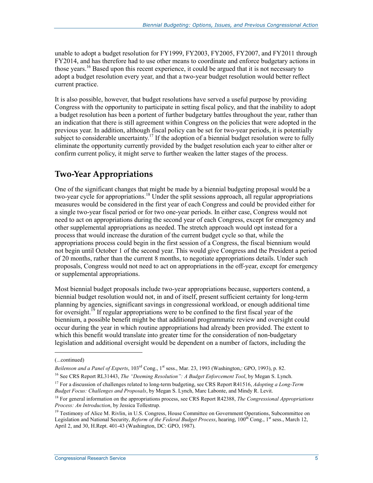unable to adopt a budget resolution for FY1999, FY2003, FY2005, FY2007, and FY2011 through FY2014, and has therefore had to use other means to coordinate and enforce budgetary actions in those years.<sup>16</sup> Based upon this recent experience, it could be argued that it is not necessary to adopt a budget resolution every year, and that a two-year budget resolution would better reflect current practice.

It is also possible, however, that budget resolutions have served a useful purpose by providing Congress with the opportunity to participate in setting fiscal policy, and that the inability to adopt a budget resolution has been a portent of further budgetary battles throughout the year, rather than an indication that there is still agreement within Congress on the policies that were adopted in the previous year. In addition, although fiscal policy can be set for two-year periods, it is potentially subject to considerable uncertainty.<sup>17</sup> If the adoption of a biennial budget resolution were to fully eliminate the opportunity currently provided by the budget resolution each year to either alter or confirm current policy, it might serve to further weaken the latter stages of the process.

#### **Two-Year Appropriations**

One of the significant changes that might be made by a biennial budgeting proposal would be a two-year cycle for appropriations.18 Under the split sessions approach, all regular appropriations measures would be considered in the first year of each Congress and could be provided either for a single two-year fiscal period or for two one-year periods. In either case, Congress would not need to act on appropriations during the second year of each Congress, except for emergency and other supplemental appropriations as needed. The stretch approach would opt instead for a process that would increase the duration of the current budget cycle so that, while the appropriations process could begin in the first session of a Congress, the fiscal biennium would not begin until October 1 of the second year. This would give Congress and the President a period of 20 months, rather than the current 8 months, to negotiate appropriations details. Under such proposals, Congress would not need to act on appropriations in the off-year, except for emergency or supplemental appropriations.

Most biennial budget proposals include two-year appropriations because, supporters contend, a biennial budget resolution would not, in and of itself, present sufficient certainty for long-term planning by agencies, significant savings in congressional workload, or enough additional time for oversight.<sup>19</sup> If regular appropriations were to be confined to the first fiscal year of the biennium, a possible benefit might be that additional programmatic review and oversight could occur during the year in which routine appropriations had already been provided. The extent to which this benefit would translate into greater time for the consideration of non-budgetary legislation and additional oversight would be dependent on a number of factors, including the

<sup>(...</sup>continued)

*Beilenson and a Panel of Experts*, 103<sup>rd</sup> Cong., 1<sup>st</sup> sess., Mar. 23, 1993 (Washington,: GPO, 1993), p. 82.

<sup>16</sup> See CRS Report RL31443, *The "Deeming Resolution": A Budget Enforcement Tool*, by Megan S. Lynch.

<sup>17</sup> For a discussion of challenges related to long-term budgeting, see CRS Report R41516, *Adopting a Long-Term Budget Focus: Challenges and Proposals*, by Megan S. Lynch, Marc Labonte, and Mindy R. Levit.

<sup>18</sup> For general information on the appropriations process, see CRS Report R42388, *The Congressional Appropriations Process: An Introduction*, by Jessica Tollestrup.

<sup>&</sup>lt;sup>19</sup> Testimony of Alice M. Rivlin, in U.S. Congress, House Committee on Government Operations, Subcommittee on Legislation and National Security, *Reform of the Federal Budget Process*, hearing, 100<sup>th</sup> Cong., 1<sup>st</sup> sess., March 12, April 2, and 30, H.Rept. 401-43 (Washington, DC: GPO, 1987).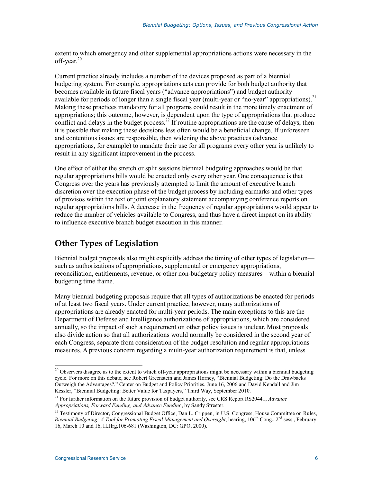extent to which emergency and other supplemental appropriations actions were necessary in the off-year.<sup>20</sup>

Current practice already includes a number of the devices proposed as part of a biennial budgeting system. For example, appropriations acts can provide for both budget authority that becomes available in future fiscal years ("advance appropriations") and budget authority available for periods of longer than a single fiscal year (multi-year or "no-year" appropriations).<sup>21</sup> Making these practices mandatory for all programs could result in the more timely enactment of appropriations; this outcome, however, is dependent upon the type of appropriations that produce conflict and delays in the budget process.<sup>22</sup> If routine appropriations are the cause of delays, then it is possible that making these decisions less often would be a beneficial change. If unforeseen and contentious issues are responsible, then widening the above practices (advance appropriations, for example) to mandate their use for all programs every other year is unlikely to result in any significant improvement in the process.

One effect of either the stretch or split sessions biennial budgeting approaches would be that regular appropriations bills would be enacted only every other year. One consequence is that Congress over the years has previously attempted to limit the amount of executive branch discretion over the execution phase of the budget process by including earmarks and other types of provisos within the text or joint explanatory statement accompanying conference reports on regular appropriations bills. A decrease in the frequency of regular appropriations would appear to reduce the number of vehicles available to Congress, and thus have a direct impact on its ability to influence executive branch budget execution in this manner.

### **Other Types of Legislation**

Biennial budget proposals also might explicitly address the timing of other types of legislation such as authorizations of appropriations, supplemental or emergency appropriations, reconciliation, entitlements, revenue, or other non-budgetary policy measures—within a biennial budgeting time frame.

Many biennial budgeting proposals require that all types of authorizations be enacted for periods of at least two fiscal years. Under current practice, however, many authorizations of appropriations are already enacted for multi-year periods. The main exceptions to this are the Department of Defense and Intelligence authorizations of appropriations, which are considered annually, so the impact of such a requirement on other policy issues is unclear. Most proposals also divide action so that all authorizations would normally be considered in the second year of each Congress, separate from consideration of the budget resolution and regular appropriations measures. A previous concern regarding a multi-year authorization requirement is that, unless

 $20$  Observers disagree as to the extent to which off-year appropriations might be necessary within a biennial budgeting cycle. For more on this debate, see Robert Greenstein and James Horney, "Biennial Budgeting: Do the Drawbacks Outweigh the Advantages?," Center on Budget and Policy Priorities, June 16, 2006 and David Kendall and Jim Kessler, "Biennial Budgeting: Better Value for Taxpayers," Third Way, September 2010.

<sup>21</sup> For further information on the future provision of budget authority, see CRS Report RS20441, *Advance Appropriations, Forward Funding, and Advance Funding*, by Sandy Streeter.

<sup>&</sup>lt;sup>22</sup> Testimony of Director, Congressional Budget Office, Dan L. Crippen, in U.S. Congress, House Committee on Rules, Biennial Budgeting: A Tool for Promoting Fiscal Management and Oversight, hearing, 106<sup>th</sup> Cong., 2<sup>nd</sup> sess., February 16, March 10 and 16, H.Hrg.106-681 (Washington, DC: GPO, 2000).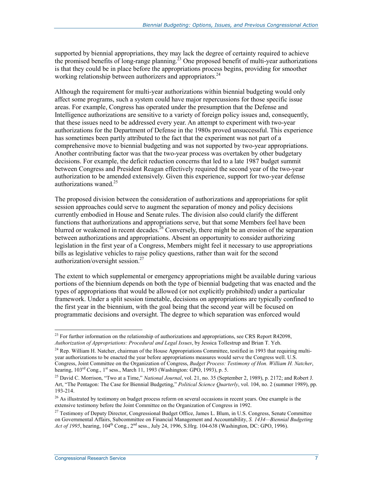supported by biennial appropriations, they may lack the degree of certainty required to achieve the promised benefits of long-range planning.<sup>23</sup> One proposed benefit of multi-year authorizations is that they could be in place before the appropriations process begins, providing for smoother working relationship between authorizers and appropriators.<sup>24</sup>

Although the requirement for multi-year authorizations within biennial budgeting would only affect some programs, such a system could have major repercussions for those specific issue areas. For example, Congress has operated under the presumption that the Defense and Intelligence authorizations are sensitive to a variety of foreign policy issues and, consequently, that these issues need to be addressed every year. An attempt to experiment with two-year authorizations for the Department of Defense in the 1980s proved unsuccessful. This experience has sometimes been partly attributed to the fact that the experiment was not part of a comprehensive move to biennial budgeting and was not supported by two-year appropriations. Another contributing factor was that the two-year process was overtaken by other budgetary decisions. For example, the deficit reduction concerns that led to a late 1987 budget summit between Congress and President Reagan effectively required the second year of the two-year authorization to be amended extensively. Given this experience, support for two-year defense authorizations waned. $25$ 

The proposed division between the consideration of authorizations and appropriations for split session approaches could serve to augment the separation of money and policy decisions currently embodied in House and Senate rules. The division also could clarify the different functions that authorizations and appropriations serve, but that some Members feel have been blurred or weakened in recent decades.<sup>26</sup> Conversely, there might be an erosion of the separation between authorizations and appropriations. Absent an opportunity to consider authorizing legislation in the first year of a Congress, Members might feel it necessary to use appropriations bills as legislative vehicles to raise policy questions, rather than wait for the second authorization/oversight session. $27$ 

The extent to which supplemental or emergency appropriations might be available during various portions of the biennium depends on both the type of biennial budgeting that was enacted and the types of appropriations that would be allowed (or not explicitly prohibited) under a particular framework. Under a split session timetable, decisions on appropriations are typically confined to the first year in the biennium, with the goal being that the second year will be focused on programmatic decisions and oversight. The degree to which separation was enforced would

<sup>&</sup>lt;u>.</u> <sup>23</sup> For further information on the relationship of authorizations and appropriations, see CRS Report R42098, *Authorization of Appropriations: Procedural and Legal Issues*, by Jessica Tollestrup and Brian T. Yeh.

<sup>&</sup>lt;sup>24</sup> Rep. William H. Natcher, chairman of the House Appropriations Committee, testified in 1993 that requiring multiyear authorizations to be enacted the year before appropriations measures would serve the Congress well. U.S. Congress, Joint Committee on the Organization of Congress, *Budget Process: Testimony of Hon. William H. Natcher*, hearing,  $103^{\text{rd}}$  Cong.,  $1^{\text{st}}$  sess., March 11, 1993 (Washington: GPO, 1993), p. 5.

<sup>25</sup> David C. Morrison, "Two at a Time," *National Journal*, vol. 21, no. 35 (September 2, 1989), p. 2172; and Robert J. Art, "The Pentagon: The Case for Biennial Budgeting," *Political Science Quarterly*, vol. 104, no. 2 (summer 1989), pp. 193-214.

<sup>&</sup>lt;sup>26</sup> As illustrated by testimony on budget process reform on several occasions in recent years. One example is the extensive testimony before the Joint Committee on the Organization of Congress in 1992.

<sup>&</sup>lt;sup>27</sup> Testimony of Deputy Director, Congressional Budget Office, James L. Blum, in U.S. Congress, Senate Committee on Governmental Affairs, Subcommittee on Financial Management and Accountability, *S. 1434—Biennial Budgeting*  Act of 1995, hearing, 104<sup>th</sup> Cong., 2<sup>nd</sup> sess., July 24, 1996, S.Hrg. 104-638 (Washington, DC: GPO, 1996).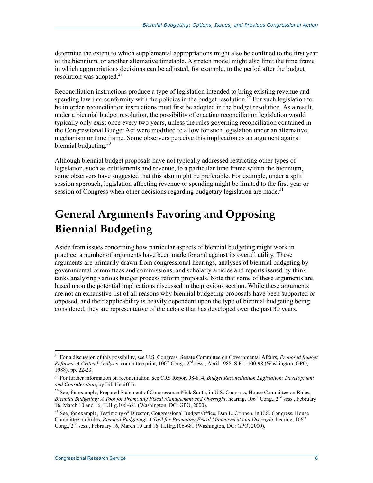determine the extent to which supplemental appropriations might also be confined to the first year of the biennium, or another alternative timetable. A stretch model might also limit the time frame in which appropriations decisions can be adjusted, for example, to the period after the budget resolution was adopted. $28$ 

Reconciliation instructions produce a type of legislation intended to bring existing revenue and spending law into conformity with the policies in the budget resolution.<sup>29</sup> For such legislation to be in order, reconciliation instructions must first be adopted in the budget resolution. As a result, under a biennial budget resolution, the possibility of enacting reconciliation legislation would typically only exist once every two years, unless the rules governing reconciliation contained in the Congressional Budget Act were modified to allow for such legislation under an alternative mechanism or time frame. Some observers perceive this implication as an argument against biennial budgeting. $30$ 

Although biennial budget proposals have not typically addressed restricting other types of legislation, such as entitlements and revenue, to a particular time frame within the biennium, some observers have suggested that this also might be preferable. For example, under a split session approach, legislation affecting revenue or spending might be limited to the first year or session of Congress when other decisions regarding budgetary legislation are made.<sup>31</sup>

## **General Arguments Favoring and Opposing Biennial Budgeting**

Aside from issues concerning how particular aspects of biennial budgeting might work in practice, a number of arguments have been made for and against its overall utility. These arguments are primarily drawn from congressional hearings, analyses of biennial budgeting by governmental committees and commissions, and scholarly articles and reports issued by think tanks analyzing various budget process reform proposals. Note that some of these arguments are based upon the potential implications discussed in the previous section. While these arguments are not an exhaustive list of all reasons why biennial budgeting proposals have been supported or opposed, and their applicability is heavily dependent upon the type of biennial budgeting being considered, they are representative of the debate that has developed over the past 30 years.

<sup>&</sup>lt;u>.</u> 28 For a discussion of this possibility, see U.S. Congress, Senate Committee on Governmental Affairs, *Proposed Budget Reforms: A Critical Analysis*, committee print, 100th Cong., 2nd sess., April 1988, S.Prt. 100-98 (Washington: GPO, 1988), pp. 22-23.

<sup>29</sup> For further information on reconciliation, see CRS Report 98-814, *Budget Reconciliation Legislation: Development and Consideration*, by Bill Heniff Jr.

<sup>30</sup> See, for example, Prepared Statement of Congressman Nick Smith, in U.S. Congress, House Committee on Rules, *Biennial Budgeting: A Tool for Promoting Fiscal Management and Oversight*, hearing, 106th Cong., 2nd sess., February 16, March 10 and 16, H.Hrg.106-681 (Washington, DC: GPO, 2000).

<sup>&</sup>lt;sup>31</sup> See, for example, Testimony of Director, Congressional Budget Office, Dan L. Crippen, in U.S. Congress, House Committee on Rules, *Biennial Budgeting: A Tool for Promoting Fiscal Management and Oversight*, hearing, 106th Cong.,  $2<sup>nd</sup>$  sess., February 16, March 10 and 16, H.Hrg.106-681 (Washington, DC: GPO, 2000).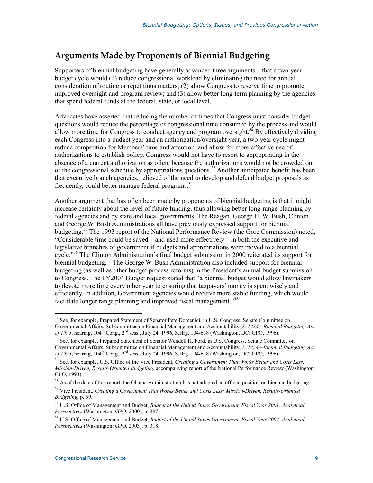### **Arguments Made by Proponents of Biennial Budgeting**

Supporters of biennial budgeting have generally advanced three arguments—that a two-year budget cycle would (1) reduce congressional workload by eliminating the need for annual consideration of routine or repetitious matters; (2) allow Congress to reserve time to promote improved oversight and program review; and (3) allow better long-term planning by the agencies that spend federal funds at the federal, state, or local level.

Advocates have asserted that reducing the number of times that Congress must consider budget questions would reduce the percentage of congressional time consumed by the process and would allow more time for Congress to conduct agency and program oversight.<sup>32</sup> By effectively dividing each Congress into a budget year and an authorization/oversight year, a two-year cycle might reduce competition for Members' time and attention, and allow for more effective use of authorizations to establish policy. Congress would not have to resort to appropriating in the absence of a current authorization as often, because the authorizations would not be crowded out of the congressional schedule by appropriations questions.<sup>33</sup> Another anticipated benefit has been that executive branch agencies, relieved of the need to develop and defend budget proposals as frequently, could better manage federal programs.<sup>34</sup>

Another argument that has often been made by proponents of biennial budgeting is that it might increase certainty about the level of future funding, thus allowing better long-range planning by federal agencies and by state and local governments. The Reagan, George H. W. Bush, Clinton, and George W. Bush Administrations all have previously expressed support for biennial budgeting.35 The 1993 report of the National Performance Review (the Gore Commission) noted, "Considerable time could be saved—and used more effectively—in both the executive and legislative branches of government if budgets and appropriations were moved to a biennial cycle."<sup>36</sup> The Clinton Administration's final budget submission in 2000 reiterated its support for biennial budgeting.<sup>37</sup> The George W. Bush Administration also included support for biennial budgeting (as well as other budget process reforms) in the President's annual budget submission to Congress. The FY2004 Budget request stated that "a biennial budget would allow lawmakers to devote more time every other year to ensuring that taxpayers' money is spent wisely and efficiently. In addition, Government agencies would receive more stable funding, which would facilitate longer range planning and improved fiscal management."<sup>38</sup>

<sup>&</sup>lt;u>.</u>  $32$  See, for example, Prepared Statement of Senator Pete Domenici, in U.S. Congress, Senate Committee on Governmental Affairs, Subcommittee on Financial Management and Accountability, *S. 1434—Biennial Budgeting Act of 1995*, hearing, 104<sup>th</sup> Cong., 2<sup>nd</sup> sess., July 24, 1996, S.Hrg. 104-638 (Washington, DC: GPO, 1996).

<sup>&</sup>lt;sup>33</sup> See, for example, Prepared Statement of Senator Wendell H. Ford, in U.S. Congress, Senate Committee on Governmental Affairs, Subcommittee on Financial Management and Accountability, *S. 1434—Biennial Budgeting Act of 1995*, hearing, 104<sup>th</sup> Cong., 2<sup>nd</sup> sess., July 24, 1996, S.Hrg. 104-638 (Washington, DC: GPO, 1996).

<sup>34</sup> See, for example, U.S. Office of the Vice President, *Creating a Government That Works Better and Costs Less: Mission-Driven, Results-Oriented Budgeting*, accompanying report of the National Performance Review (Washington: GPO, 1993).

<sup>&</sup>lt;sup>35</sup> As of the date of this report, the Obama Administration has not adopted an official position on biennial budgeting.

<sup>36</sup> Vice President, *Creating a Government That Works Better and Costs Less: Mission-Driven, Results-Oriented Budgeting*, p. 59.

<sup>37</sup> U.S. Office of Management and Budget, *Budget of the United States Government, Fiscal Year 2001, Analytical Perspectives* (Washington: GPO, 2000), p. 287.

<sup>38</sup> U.S. Office of Management and Budget, *Budget of the United States Government, Fiscal Year 2004, Analytical Perspectives* (Washington: GPO, 2003), p. 318.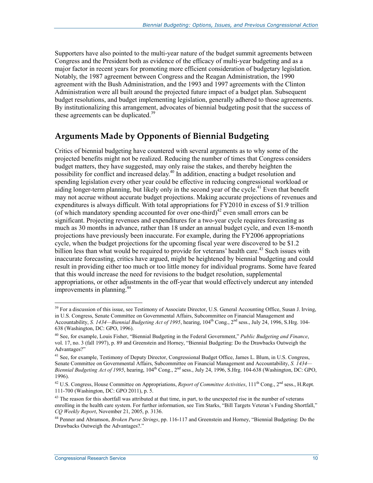Supporters have also pointed to the multi-year nature of the budget summit agreements between Congress and the President both as evidence of the efficacy of multi-year budgeting and as a major factor in recent years for promoting more efficient consideration of budgetary legislation. Notably, the 1987 agreement between Congress and the Reagan Administration, the 1990 agreement with the Bush Administration, and the 1993 and 1997 agreements with the Clinton Administration were all built around the projected future impact of a budget plan. Subsequent budget resolutions, and budget implementing legislation, generally adhered to those agreements. By institutionalizing this arrangement, advocates of biennial budgeting posit that the success of these agreements can be duplicated.<sup>39</sup>

#### **Arguments Made by Opponents of Biennial Budgeting**

Critics of biennial budgeting have countered with several arguments as to why some of the projected benefits might not be realized. Reducing the number of times that Congress considers budget matters, they have suggested, may only raise the stakes, and thereby heighten the possibility for conflict and increased delay.40 In addition, enacting a budget resolution and spending legislation every other year could be effective in reducing congressional workload or aiding longer-term planning, but likely only in the second year of the cycle.<sup>41</sup> Even that benefit may not accrue without accurate budget projections. Making accurate projections of revenues and expenditures is always difficult. With total appropriations for FY2010 in excess of \$1.9 trillion (of which mandatory spending accounted for over one-third)<sup>42</sup> even small errors can be significant. Projecting revenues and expenditures for a two-year cycle requires forecasting as much as 30 months in advance, rather than 18 under an annual budget cycle, and even 18-month projections have previously been inaccurate. For example, during the FY2006 appropriations cycle, when the budget projections for the upcoming fiscal year were discovered to be \$1.2 billion less than what would be required to provide for veterans' health care.<sup>43</sup> Such issues with inaccurate forecasting, critics have argued, might be heightened by biennial budgeting and could result in providing either too much or too little money for individual programs. Some have feared that this would increase the need for revisions to the budget resolution, supplemental appropriations, or other adjustments in the off-year that would effectively undercut any intended improvements in planning.<sup>44</sup>

<sup>&</sup>lt;sup>39</sup> For a discussion of this issue, see Testimony of Associate Director, U.S. General Accounting Office, Susan J. Irving, in U.S. Congress, Senate Committee on Governmental Affairs, Subcommittee on Financial Management and Accountability, *S. 1434—Biennial Budgeting Act of 1995*, hearing, 104<sup>th</sup> Cong., 2<sup>nd</sup> sess., July 24, 1996, S.Hrg. 104-638 (Washington, DC: GPO, 1996).

<sup>40</sup> See, for example, Louis Fisher, "Biennial Budgeting in the Federal Government," *Public Budgeting and Finance*, vol. 17, no. 3 (fall 1997), p. 89 and Greenstein and Horney, "Biennial Budgeting: Do the Drawbacks Outweigh the Advantages?"

<sup>&</sup>lt;sup>41</sup> See, for example, Testimony of Deputy Director, Congressional Budget Office, James L. Blum, in U.S. Congress, Senate Committee on Governmental Affairs, Subcommittee on Financial Management and Accountability, *S. 1434— Biennial Budgeting Act of 1995*, hearing, 104th Cong., 2nd sess., July 24, 1996, S.Hrg. 104-638 (Washington, DC: GPO, 1996).

<sup>&</sup>lt;sup>42</sup> U.S. Congress, House Committee on Appropriations, *Report of Committee Activities*,  $111^{\text{th}}$  Cong.,  $2^{\text{nd}}$  sess., H.Rept. 111-700 (Washington, DC: GPO 2011), p. 5.

 $43$  The reason for this shortfall was attributed at that time, in part, to the unexpected rise in the number of veterans enrolling in the health care system. For further information, see Tim Starks, "Bill Targets Veteran's Funding Shortfall," *CQ Weekly Report*, November 21, 2005, p. 3136.

<sup>44</sup> Penner and Abramson, *Broken Purse Strings*, pp. 116-117 and Greenstein and Horney, "Biennial Budgeting: Do the Drawbacks Outweigh the Advantages?."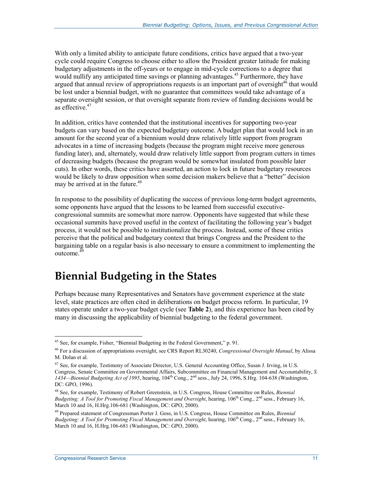With only a limited ability to anticipate future conditions, critics have argued that a two-year cycle could require Congress to choose either to allow the President greater latitude for making budgetary adjustments in the off-years or to engage in mid-cycle corrections to a degree that would nullify any anticipated time savings or planning advantages.<sup>45</sup> Furthermore, they have argued that annual review of appropriations requests is an important part of oversight<sup>46</sup> that would be lost under a biennial budget, with no guarantee that committees would take advantage of a separate oversight session, or that oversight separate from review of funding decisions would be as effective.<sup>47</sup>

In addition, critics have contended that the institutional incentives for supporting two-year budgets can vary based on the expected budgetary outcome. A budget plan that would lock in an amount for the second year of a biennium would draw relatively little support from program advocates in a time of increasing budgets (because the program might receive more generous funding later), and, alternately, would draw relatively little support from program cutters in times of decreasing budgets (because the program would be somewhat insulated from possible later cuts). In other words, these critics have asserted, an action to lock in future budgetary resources would be likely to draw opposition when some decision makers believe that a "better" decision may be arrived at in the future. $48$ 

In response to the possibility of duplicating the success of previous long-term budget agreements, some opponents have argued that the lessons to be learned from successful executivecongressional summits are somewhat more narrow. Opponents have suggested that while these occasional summits have proved useful in the context of facilitating the following year's budget process, it would not be possible to institutionalize the process. Instead, some of these critics perceive that the political and budgetary context that brings Congress and the President to the bargaining table on a regular basis is also necessary to ensure a commitment to implementing the outcome.49

## **Biennial Budgeting in the States**

Perhaps because many Representatives and Senators have government experience at the state level, state practices are often cited in deliberations on budget process reform. In particular, 19 states operate under a two-year budget cycle (see **Table 2**), and this experience has been cited by many in discussing the applicability of biennial budgeting to the federal government.

<u>.</u>

 $45$  See, for example, Fisher, "Biennial Budgeting in the Federal Government," p. 91.

<sup>46</sup> For a discussion of appropriations oversight, see CRS Report RL30240, *Congressional Oversight Manual*, by Alissa M. Dolan et al.

<sup>47</sup> See, for example, Testimony of Associate Director, U.S. General Accounting Office, Susan J. Irving, in U.S. Congress, Senate Committee on Governmental Affairs, Subcommittee on Financial Management and Accountability, *S. 1434—Biennial Budgeting Act of 1995*, hearing, 104th Cong., 2nd sess., July 24, 1996, S.Hrg. 104-638 (Washington, DC: GPO, 1996).

<sup>48</sup> See, for example, Testimony of Robert Greenstein, in U.S. Congress, House Committee on Rules, *Biennial Budgeting: A Tool for Promoting Fiscal Management and Oversight*, hearing, 106<sup>th</sup> Cong., 2<sup>nd</sup> sess., February 16, March 10 and 16, H.Hrg.106-681 (Washington, DC: GPO, 2000).

<sup>49</sup> Prepared statement of Congressman Porter J. Goss, in U.S. Congress, House Committee on Rules, *Biennial Budgeting: A Tool for Promoting Fiscal Management and Oversight*, hearing, 106<sup>th</sup> Cong., 2<sup>nd</sup> sess., February 16, March 10 and 16, H.Hrg.106-681 (Washington, DC: GPO, 2000).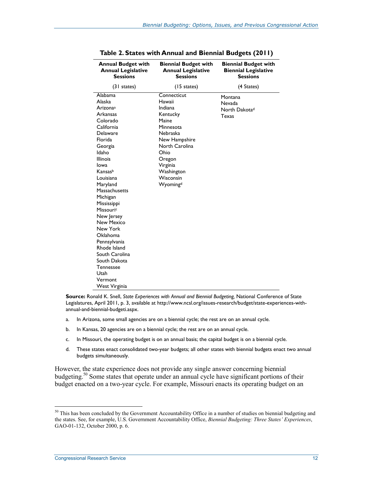| <b>Annual Budget with</b><br><b>Annual Legislative</b><br><b>Sessions</b> | <b>Biennial Budget with</b><br><b>Annual Legislative</b><br><b>Sessions</b> | <b>Biennial Budget with</b><br><b>Biennial Legislative</b><br><b>Sessions</b> |  |
|---------------------------------------------------------------------------|-----------------------------------------------------------------------------|-------------------------------------------------------------------------------|--|
| (31 states)                                                               | $(15 \text{ states})$                                                       | (4 States)                                                                    |  |
| Alabama                                                                   | Connecticut                                                                 | Montana                                                                       |  |
| Alaska                                                                    | Hawaii                                                                      | <b>Nevada</b>                                                                 |  |
| Arizona <sup>a</sup>                                                      | Indiana                                                                     | North Dakota <sup>d</sup>                                                     |  |
| Arkansas                                                                  | Kentucky                                                                    | <b>Texas</b>                                                                  |  |
| Colorado                                                                  | Maine                                                                       |                                                                               |  |
| California                                                                | Minnesota                                                                   |                                                                               |  |
| <b>Delaware</b>                                                           | Nebraska                                                                    |                                                                               |  |
| Florida                                                                   | New Hampshire                                                               |                                                                               |  |
| Georgia                                                                   | North Carolina                                                              |                                                                               |  |
| Idaho                                                                     | Ohio                                                                        |                                                                               |  |
| <b>Illinois</b>                                                           | Oregon                                                                      |                                                                               |  |
| Iowa                                                                      | Virginia                                                                    |                                                                               |  |
| Kansasb                                                                   | Washington                                                                  |                                                                               |  |
| Louisiana                                                                 | Wisconsin                                                                   |                                                                               |  |
| Maryland                                                                  | Wyomingd                                                                    |                                                                               |  |
| Massachusetts                                                             |                                                                             |                                                                               |  |
| Michigan                                                                  |                                                                             |                                                                               |  |
| Mississippi                                                               |                                                                             |                                                                               |  |
| Missouric                                                                 |                                                                             |                                                                               |  |
| New Jersey                                                                |                                                                             |                                                                               |  |
| New Mexico                                                                |                                                                             |                                                                               |  |
| New York                                                                  |                                                                             |                                                                               |  |
| <b>Oklahoma</b>                                                           |                                                                             |                                                                               |  |
| Pennsylvania                                                              |                                                                             |                                                                               |  |
| Rhode Island                                                              |                                                                             |                                                                               |  |
| South Carolina                                                            |                                                                             |                                                                               |  |
| South Dakota                                                              |                                                                             |                                                                               |  |
| Tennessee                                                                 |                                                                             |                                                                               |  |
| Utah                                                                      |                                                                             |                                                                               |  |
| Vermont                                                                   |                                                                             |                                                                               |  |
| West Virginia                                                             |                                                                             |                                                                               |  |

| Table 2. States with Annual and Biennial Budgets (2011) |  |  |  |  |
|---------------------------------------------------------|--|--|--|--|
|---------------------------------------------------------|--|--|--|--|

**Source:** Ronald K. Snell, *State Experiences with Annual and Biennial Budgeting,* National Conference of State Legislatures, April 2011, p. 3, available at http://www.ncsl.org/issues-research/budget/state-experiences-withannual-and-biennial-budgeti.aspx.

- a. In Arizona, some small agencies are on a biennial cycle; the rest are on an annual cycle.
- b. In Kansas, 20 agencies are on a biennial cycle; the rest are on an annual cycle.
- c. In Missouri, the operating budget is on an annual basis; the capital budget is on a biennial cycle.
- d. These states enact consolidated two-year budgets; all other states with biennial budgets enact two annual budgets simultaneously.

However, the state experience does not provide any single answer concerning biennial budgeting.<sup>50</sup> Some states that operate under an annual cycle have significant portions of their budget enacted on a two-year cycle. For example, Missouri enacts its operating budget on an

<sup>&</sup>lt;sup>50</sup> This has been concluded by the Government Accountability Office in a number of studies on biennial budgeting and the states. See, for example, U.S. Government Accountability Office, *Biennial Budgeting: Three States' Experiences*, GAO-01-132, October 2000, p. 6.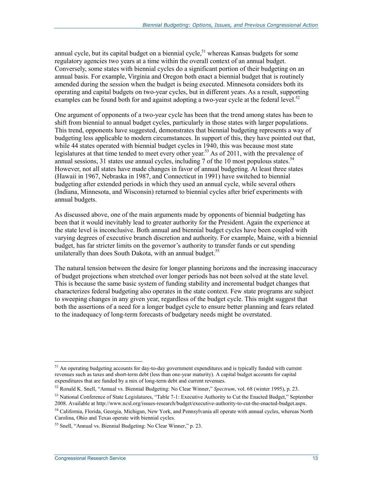annual cycle, but its capital budget on a biennial cycle,<sup>51</sup> whereas Kansas budgets for some regulatory agencies two years at a time within the overall context of an annual budget. Conversely, some states with biennial cycles do a significant portion of their budgeting on an annual basis. For example, Virginia and Oregon both enact a biennial budget that is routinely amended during the session when the budget is being executed. Minnesota considers both its operating and capital budgets on two-year cycles, but in different years. As a result, supporting examples can be found both for and against adopting a two-year cycle at the federal level.<sup>52</sup>

One argument of opponents of a two-year cycle has been that the trend among states has been to shift from biennial to annual budget cycles, particularly in those states with larger populations. This trend, opponents have suggested, demonstrates that biennial budgeting represents a way of budgeting less applicable to modern circumstances. In support of this, they have pointed out that, while 44 states operated with biennial budget cycles in 1940, this was because most state legislatures at that time tended to meet every other year.<sup>53</sup> As of 2011, with the prevalence of annual sessions, 31 states use annual cycles, including 7 of the 10 most populous states.<sup>54</sup> However, not all states have made changes in favor of annual budgeting. At least three states (Hawaii in 1967, Nebraska in 1987, and Connecticut in 1991) have switched to biennial budgeting after extended periods in which they used an annual cycle, while several others (Indiana, Minnesota, and Wisconsin) returned to biennial cycles after brief experiments with annual budgets.

As discussed above, one of the main arguments made by opponents of biennial budgeting has been that it would inevitably lead to greater authority for the President. Again the experience at the state level is inconclusive. Both annual and biennial budget cycles have been coupled with varying degrees of executive branch discretion and authority. For example, Maine, with a biennial budget, has far stricter limits on the governor's authority to transfer funds or cut spending unilaterally than does South Dakota, with an annual budget.<sup>55</sup>

The natural tension between the desire for longer planning horizons and the increasing inaccuracy of budget projections when stretched over longer periods has not been solved at the state level. This is because the same basic system of funding stability and incremental budget changes that characterizes federal budgeting also operates in the state context. Few state programs are subject to sweeping changes in any given year, regardless of the budget cycle. This might suggest that both the assertions of a need for a longer budget cycle to ensure better planning and fears related to the inadequacy of long-term forecasts of budgetary needs might be overstated.

<sup>1</sup> <sup>51</sup> An operating budgeting accounts for day-to-day government expenditures and is typically funded with current revenues such as taxes and short-term debt (less than one-year maturity). A capital budget accounts for capital expenditures that are funded by a mix of long-term debt and current revenues.

<sup>52</sup> Ronald K. Snell, "Annual vs. Biennial Budgeting: No Clear Winner," *Spectrum*, vol. 68 (winter 1995), p. 23.

<sup>&</sup>lt;sup>53</sup> National Conference of State Legislatures, "Table 7-1: Executive Authority to Cut the Enacted Budget," September 2008. Available at http://www.ncsl.org/issues-research/budget/executive-authority-to-cut-the-enacted-budget.aspx.

<sup>54</sup> California, Florida, Georgia, Michigan, New York, and Pennsylvania all operate with annual cycles, whereas North Carolina, Ohio and Texas operate with biennial cycles.

<sup>55</sup> Snell, "Annual vs. Biennial Budgeting: No Clear Winner," p. 23.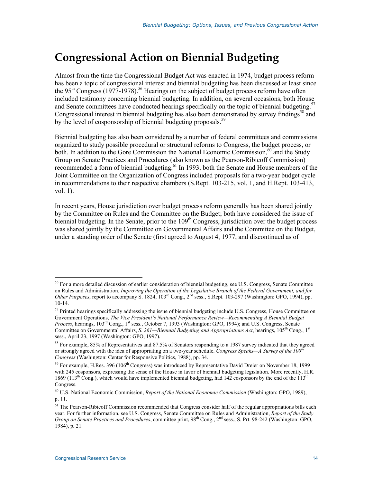## **Congressional Action on Biennial Budgeting**

Almost from the time the Congressional Budget Act was enacted in 1974, budget process reform has been a topic of congressional interest and biennial budgeting has been discussed at least since the  $95<sup>th</sup> Congress (1977-1978).$ <sup>56</sup> Hearings on the subject of budget process reform have often included testimony concerning biennial budgeting. In addition, on several occasions, both House and Senate committees have conducted hearings specifically on the topic of biennial budgeting.<sup>57</sup> Congressional interest in biennial budgeting has also been demonstrated by survey findings<sup>58</sup> and by the level of cosponsorship of biennial budgeting proposals.<sup>59</sup>

Biennial budgeting has also been considered by a number of federal committees and commissions organized to study possible procedural or structural reforms to Congress, the budget process, or both. In addition to the Gore Commission the National Economic Commission, $60$  and the Study Group on Senate Practices and Procedures (also known as the Pearson-Ribicoff Commission) recommended a form of biennial budgeting.<sup>61</sup> In 1993, both the Senate and House members of the Joint Committee on the Organization of Congress included proposals for a two-year budget cycle in recommendations to their respective chambers (S.Rept. 103-215, vol. 1, and H.Rept. 103-413, vol. 1).

In recent years, House jurisdiction over budget process reform generally has been shared jointly by the Committee on Rules and the Committee on the Budget; both have considered the issue of biennial budgeting. In the Senate, prior to the  $109<sup>th</sup>$  Congress, jurisdiction over the budget process was shared jointly by the Committee on Governmental Affairs and the Committee on the Budget, under a standing order of the Senate (first agreed to August 4, 1977, and discontinued as of

 $56$  For a more detailed discussion of earlier consideration of biennial budgeting, see U.S. Congress, Senate Committee on Rules and Administration, *Improving the Operation of the Legislative Branch of the Federal Government, and for Other Purposes*, report to accompany S. 1824, 103rd Cong., 2nd sess., S.Rept. 103-297 (Washington: GPO, 1994), pp. 10-14.

<sup>&</sup>lt;sup>57</sup> Printed hearings specifically addressing the issue of biennial budgeting include U.S. Congress, House Committee on Government Operations, *The Vice President's National Performance Review—Recommending A Biennial Budget Process*, hearings, 103<sup>rd</sup> Cong., 1<sup>st</sup> sess., October 7, 1993 (Washington: GPO, 1994); and U.S. Congress, Senate Committee on Governmental Affairs, *S. 261—Biennial Budgeting and Appropriations Act*, hearings, 105<sup>th</sup> Cong., 1<sup>st</sup> sess., April 23, 1997 (Washington: GPO, 1997).

<sup>58</sup> For example, 85% of Representatives and 87.5% of Senators responding to a 1987 survey indicated that they agreed or strongly agreed with the idea of appropriating on a two-year schedule. *Congress Speaks—A Survey of the 100th Congress* (Washington: Center for Responsive Politics, 1988), pp. 34.

<sup>&</sup>lt;sup>59</sup> For example, H.Res. 396 (106<sup>th</sup> Congress) was introduced by Representative David Dreier on November 18, 1999 with 245 cosponsors, expressing the sense of the House in favor of biennial budgeting legislation. More recently, H.R. 1869 (113<sup>th</sup> Cong.), which would have implemented biennial budgeting, had 142 cosponsors by the end of the 113<sup>th</sup> Congress.

<sup>60</sup> U.S. National Economic Commission, *Report of the National Economic Commission* (Washington: GPO, 1989), p. 11.

<sup>&</sup>lt;sup>61</sup> The Pearson-Ribicoff Commission recommended that Congress consider half of the regular appropriations bills each year. For further information, see U.S. Congress, Senate Committee on Rules and Administration, *Report of the Study Group on Senate Practices and Procedures*, committee print, 98th Cong., 2nd sess., S. Prt. 98-242 (Washington: GPO, 1984), p. 21.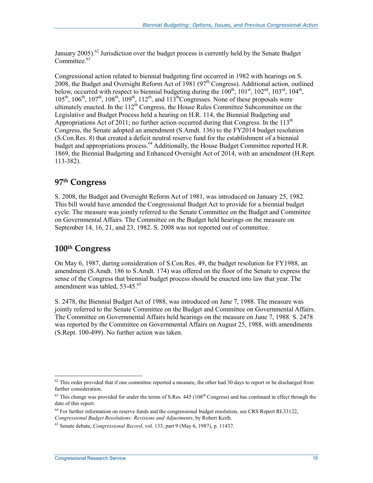January 2005).<sup>62</sup> Jurisdiction over the budget process is currently held by the Senate Budget Committee.<sup>63</sup>

Congressional action related to biennial budgeting first occurred in 1982 with hearings on S. 2008, the Budget and Oversight Reform Act of 1981 (97<sup>th</sup> Congress). Additional action, outlined below, occurred with respect to biennial budgeting during the  $100^{th}$ ,  $101^{st}$ ,  $102^{nd}$ ,  $103^{rd}$ ,  $104^{th}$ ,  $105<sup>th</sup>$ ,  $106<sup>th</sup>$ ,  $107<sup>th</sup>$ ,  $108<sup>th</sup>$ ,  $109<sup>th</sup>$ ,  $112<sup>th</sup>$ , and  $113<sup>th</sup>$ Congresses. None of these proposals were ultimately enacted. In the  $112<sup>th</sup>$  Congress, the House Rules Committee Subcommittee on the Legislative and Budget Process held a hearing on H.R. 114, the Biennial Budgeting and Appropriations Act of 2011; no further action occurred during that Congress. In the  $113<sup>th</sup>$ Congress, the Senate adopted an amendment (S.Amdt. 136) to the FY2014 budget resolution (S.Con.Res. 8) that created a deficit neutral reserve fund for the establishment of a biennial budget and appropriations process.<sup>64</sup> Additionally, the House Budget Committee reported H.R. 1869, the Biennial Budgeting and Enhanced Oversight Act of 2014, with an amendment (H.Rept. 113-382).

#### **97th Congress**

S. 2008, the Budget and Oversight Reform Act of 1981, was introduced on January 25, 1982. This bill would have amended the Congressional Budget Act to provide for a biennial budget cycle. The measure was jointly referred to the Senate Committee on the Budget and Committee on Governmental Affairs. The Committee on the Budget held hearings on the measure on September 14, 16, 21, and 23, 1982. S. 2008 was not reported out of committee.

#### **100th Congress**

On May 6, 1987, during consideration of S.Con.Res. 49, the budget resolution for FY1988, an amendment (S.Amdt. 186 to S.Amdt. 174) was offered on the floor of the Senate to express the sense of the Congress that biennial budget process should be enacted into law that year. The amendment was tabled, 53-45.<sup>65</sup>

S. 2478, the Biennial Budget Act of 1988, was introduced on June 7, 1988. The measure was jointly referred to the Senate Committee on the Budget and Committee on Governmental Affairs. The Committee on Governmental Affairs held hearings on the measure on June 7, 1988. S. 2478 was reported by the Committee on Governmental Affairs on August 25, 1988, with amendments (S.Rept. 100-499). No further action was taken.

<sup>1</sup>  $62$  This order provided that if one committee reported a measure, the other had 30 days to report or be discharged from further consideration.

 $63$  This change was provided for under the terms of S.Res.  $445$  (108<sup>th</sup> Congress) and has continued in effect through the date of this report.

<sup>&</sup>lt;sup>64</sup> For further information on reserve funds and the congressional budget resolution, see CRS Report RL33122, *Congressional Budget Resolutions: Revisions and Adjustments*, by Robert Keith.

<sup>65</sup> Senate debate, *Congressional Record*, vol. 133, part 9 (May 6, 1987), p. 11437.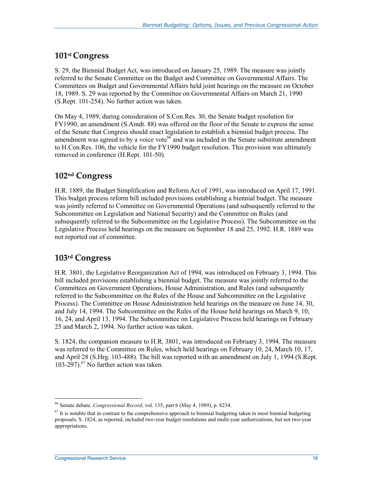#### **101st Congress**

S. 29, the Biennial Budget Act, was introduced on January 25, 1989. The measure was jointly referred to the Senate Committee on the Budget and Committee on Governmental Affairs. The Committees on Budget and Governmental Affairs held joint hearings on the measure on October 18, 1989. S. 29 was reported by the Committee on Governmental Affairs on March 21, 1990 (S.Rept. 101-254). No further action was taken.

On May 4, 1989, during consideration of S.Con.Res. 30, the Senate budget resolution for FY1990, an amendment (S.Amdt. 88) was offered on the floor of the Senate to express the sense of the Senate that Congress should enact legislation to establish a biennial budget process. The amendment was agreed to by a voice vote<sup>66</sup> and was included in the Senate substitute amendment to H.Con.Res. 106, the vehicle for the FY1990 budget resolution. This provision was ultimately removed in conference (H.Rept. 101-50).

#### **102nd Congress**

H.R. 1889, the Budget Simplification and Reform Act of 1991, was introduced on April 17, 1991. This budget process reform bill included provisions establishing a biennial budget. The measure was jointly referred to Committee on Governmental Operations (and subsequently referred to the Subcommittee on Legislation and National Security) and the Committee on Rules (and subsequently referred to the Subcommittee on the Legislative Process). The Subcommittee on the Legislative Process held hearings on the measure on September 18 and 25, 1992. H.R. 1889 was not reported out of committee.

#### **103rd Congress**

H.R. 3801, the Legislative Reorganization Act of 1994, was introduced on February 3, 1994. This bill included provisions establishing a biennial budget. The measure was jointly referred to the Committees on Government Operations, House Administration, and Rules (and subsequently referred to the Subcommittee on the Rules of the House and Subcommittee on the Legislative Process). The Committee on House Administration held hearings on the measure on June 14, 30, and July 14, 1994. The Subcommittee on the Rules of the House held hearings on March 9, 10, 16, 24, and April 13, 1994. The Subcommittee on Legislative Process held hearings on February 25 and March 2, 1994. No further action was taken.

S. 1824, the companion measure to H.R. 3801, was introduced on February 3, 1994. The measure was referred to the Committee on Rules, which held hearings on February 10, 24, March 10, 17, and April 28 (S.Hrg. 103-488). The bill was reported with an amendment on July 1, 1994 (S.Rept. 103-297). $^{67}$  No further action was taken.

<sup>66</sup> Senate debate, *Congressional Record*, vol. 135, part 6 (May 4, 1989), p. 8234.

 $67$  It is notable that in contrast to the comprehensive approach to biennial budgeting taken in most biennial budgeting proposals, S. 1824, as reported, included two-year budget resolutions and multi-year authorizations, but not two-year appropriations.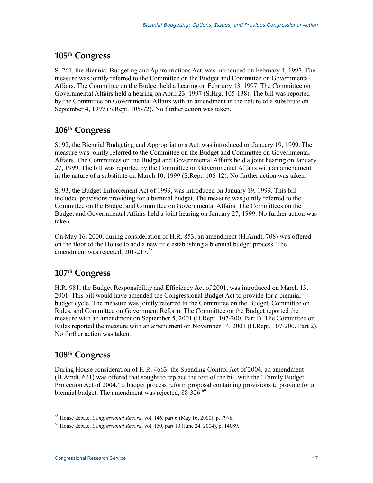#### **105th Congress**

S. 261, the Biennial Budgeting and Appropriations Act, was introduced on February 4, 1997. The measure was jointly referred to the Committee on the Budget and Committee on Governmental Affairs. The Committee on the Budget held a hearing on February 13, 1997. The Committee on Governmental Affairs held a hearing on April 23, 1997 (S.Hrg. 105-138). The bill was reported by the Committee on Governmental Affairs with an amendment in the nature of a substitute on September 4, 1997 (S.Rept. 105-72). No further action was taken.

#### **106th Congress**

S. 92, the Biennial Budgeting and Appropriations Act, was introduced on January 19, 1999. The measure was jointly referred to the Committee on the Budget and Committee on Governmental Affairs. The Committees on the Budget and Governmental Affairs held a joint hearing on January 27, 1999. The bill was reported by the Committee on Governmental Affairs with an amendment in the nature of a substitute on March 10, 1999 (S.Rept. 106-12). No further action was taken.

S. 93, the Budget Enforcement Act of 1999, was introduced on January 19, 1999. This bill included provisions providing for a biennial budget. The measure was jointly referred to the Committee on the Budget and Committee on Governmental Affairs. The Committees on the Budget and Governmental Affairs held a joint hearing on January 27, 1999. No further action was taken.

On May 16, 2000, during consideration of H.R. 853, an amendment (H.Amdt. 708) was offered on the floor of the House to add a new title establishing a biennial budget process. The amendment was rejected, 201-217.<sup>68</sup>

#### **107th Congress**

H.R. 981, the Budget Responsibility and Efficiency Act of 2001, was introduced on March 13, 2001. This bill would have amended the Congressional Budget Act to provide for a biennial budget cycle. The measure was jointly referred to the Committee on the Budget, Committee on Rules, and Committee on Government Reform. The Committee on the Budget reported the measure with an amendment on September 5, 2001 (H.Rept. 107-200, Part I). The Committee on Rules reported the measure with an amendment on November 14, 2001 (H.Rept. 107-200, Part 2). No further action was taken.

#### **108th Congress**

During House consideration of H.R. 4663, the Spending Control Act of 2004, an amendment (H.Amdt. 621) was offered that sought to replace the text of the bill with the "Family Budget Protection Act of 2004," a budget process reform proposal containing provisions to provide for a biennial budget. The amendment was rejected, 88-326.<sup>69</sup>

<sup>1</sup> 68 House debate, *Congressional Record*, vol. 146, part 6 (May 16, 2000), p. 7978.

<sup>69</sup> House debate, *Congressional Record*, vol. 150, part 10 (June 24, 2004), p. 14089.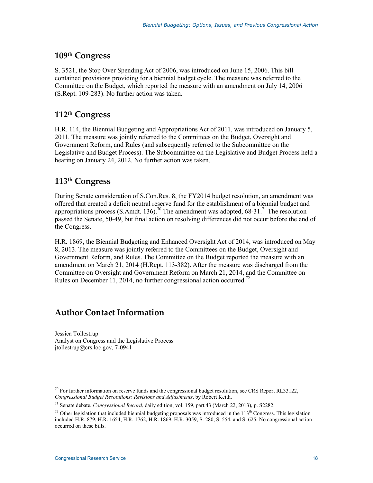#### **109th Congress**

S. 3521, the Stop Over Spending Act of 2006, was introduced on June 15, 2006. This bill contained provisions providing for a biennial budget cycle. The measure was referred to the Committee on the Budget, which reported the measure with an amendment on July 14, 2006 (S.Rept. 109-283). No further action was taken.

#### **112th Congress**

H.R. 114, the Biennial Budgeting and Appropriations Act of 2011, was introduced on January 5, 2011. The measure was jointly referred to the Committees on the Budget, Oversight and Government Reform, and Rules (and subsequently referred to the Subcommittee on the Legislative and Budget Process). The Subcommittee on the Legislative and Budget Process held a hearing on January 24, 2012. No further action was taken.

#### **113th Congress**

During Senate consideration of S.Con.Res. 8, the FY2014 budget resolution, an amendment was offered that created a deficit neutral reserve fund for the establishment of a biennial budget and appropriations process (S.Amdt. 136).<sup>70</sup> The amendment was adopted, 68-31.<sup>71</sup> The resolution passed the Senate, 50-49, but final action on resolving differences did not occur before the end of the Congress.

H.R. 1869, the Biennial Budgeting and Enhanced Oversight Act of 2014, was introduced on May 8, 2013. The measure was jointly referred to the Committees on the Budget, Oversight and Government Reform, and Rules. The Committee on the Budget reported the measure with an amendment on March 21, 2014 (H.Rept. 113-382). After the measure was discharged from the Committee on Oversight and Government Reform on March 21, 2014, and the Committee on Rules on December 11, 2014, no further congressional action occurred.<sup>72</sup>

### **Author Contact Information**

Jessica Tollestrup Analyst on Congress and the Legislative Process jtollestrup@crs.loc.gov, 7-0941

<sup>&</sup>lt;sup>70</sup> For further information on reserve funds and the congressional budget resolution, see CRS Report RL33122, *Congressional Budget Resolutions: Revisions and Adjustments*, by Robert Keith.

<sup>71</sup> Senate debate, *Congressional Record*, daily edition, vol. 159, part 43 (March 22, 2013), p. S2282.

<sup>&</sup>lt;sup>72</sup> Other legislation that included biennial budgeting proposals was introduced in the  $113<sup>th</sup>$  Congress. This legislation included H.R. 879, H.R. 1654, H.R. 1762, H.R. 1869, H.R. 3059, S. 280, S. 554, and S. 625. No congressional action occurred on these bills.